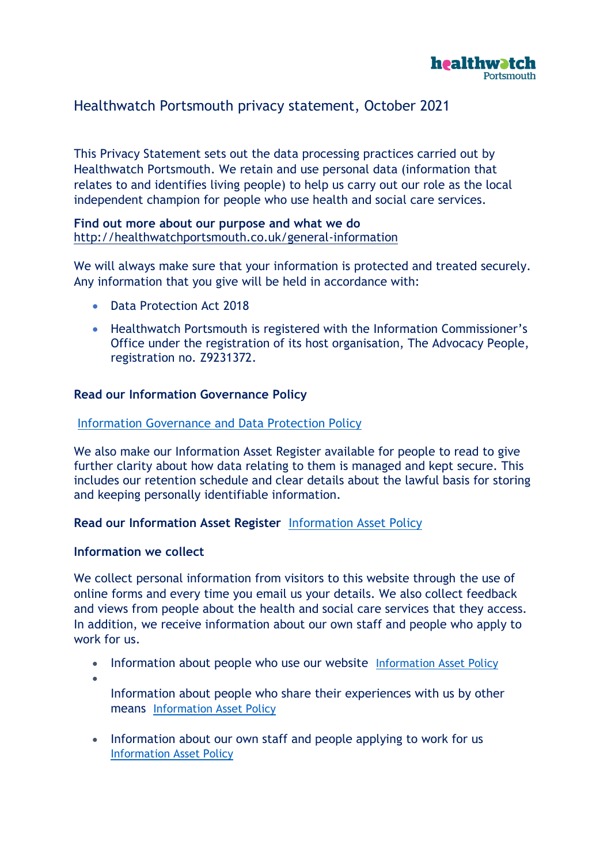

# Healthwatch Portsmouth privacy statement, October 2021

This Privacy Statement sets out the data processing practices carried out by Healthwatch Portsmouth. We retain and use personal data (information that relates to and identifies living people) to help us carry out our role as the local independent champion for people who use health and social care services.

### **Find out more about our purpose and what we do**  <http://healthwatchportsmouth.co.uk/general-information>

We will always make sure that your information is protected and treated securely. Any information that you give will be held in accordance with:

- Data Protection Act 2018
- Healthwatch Portsmouth is registered with the Information Commissioner's Office under the registration of its host organisation, The Advocacy People, registration no. Z9231372.

## **Read our Information Governance Policy**

#### [Information Governance and Data Protection Policy](https://www.healthwatchportsmouth.co.uk/wp-content/uploads/2018/05/HealthwatchPortsmouth-information-governance-and-data-protection-policyMay2018.pdf)

We also make our Information Asset Register available for people to read to give further clarity about how data relating to them is managed and kept secure. This includes our retention schedule and clear details about the lawful basis for storing and keeping personally identifiable information.

## **Read our Information Asset Register** [Information Asset Policy](http://healthwatchportsmouth.co.uk/wp-content/uploads/2018/05/HealthwatchPortsmouth-information-asset-policy-May2018.pdf)

#### **Information we collect**

We collect personal information from visitors to this website through the use of online forms and every time you email us your details. We also collect feedback and views from people about the health and social care services that they access. In addition, we receive information about our own staff and people who apply to work for us.

- Information about people who use our website Information Asset Policy
- •

Information about people who share their experiences with us by other means [Information Asset Policy](http://healthwatchportsmouth.co.uk/wp-content/uploads/2018/05/HealthwatchPortsmouth-information-asset-policy-May2018.pdf) 

• Information about our own staff and people applying to work for us [Information Asset Policy](http://healthwatchportsmouth.co.uk/wp-content/uploads/2018/05/HealthwatchPortsmouth-information-asset-policy-May2018.pdf)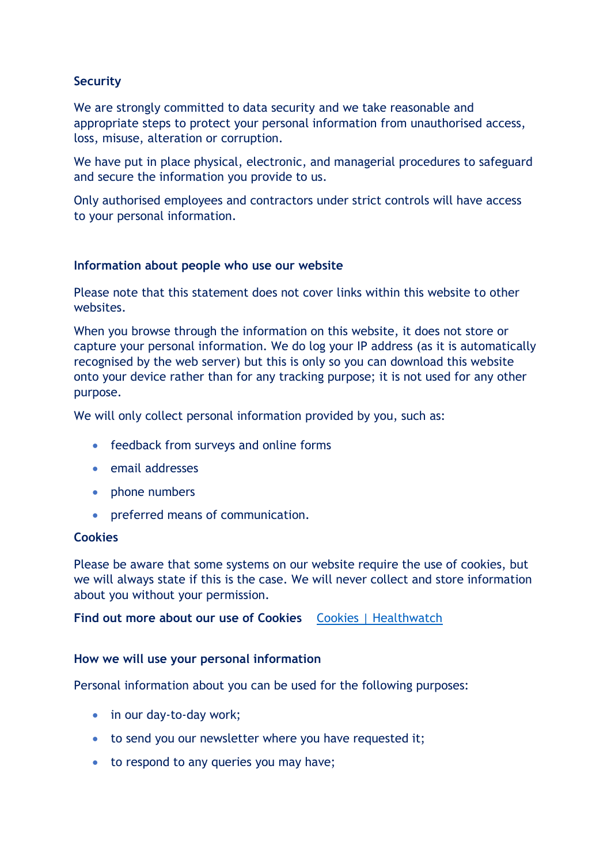## **Security**

We are strongly committed to data security and we take reasonable and appropriate steps to protect your personal information from unauthorised access, loss, misuse, alteration or corruption.

We have put in place physical, electronic, and managerial procedures to safeguard and secure the information you provide to us.

Only authorised employees and contractors under strict controls will have access to your personal information.

## **Information about people who use our website**

Please note that this statement does not cover links within this website to other websites.

When you browse through the information on this website, it does not store or capture your personal information. We do log your IP address (as it is automatically recognised by the web server) but this is only so you can download this website onto your device rather than for any tracking purpose; it is not used for any other purpose.

We will only collect personal information provided by you, such as:

- feedback from surveys and online forms
- email addresses
- phone numbers
- preferred means of communication.

## **Cookies**

Please be aware that some systems on our website require the use of cookies, but we will always state if this is the case. We will never collect and store information about you without your permission.

**Find out more about our use of Cookies Cookies** | Healthwatch

## **How we will use your personal information**

Personal information about you can be used for the following purposes:

- in our day-to-day work;
- to send you our newsletter where you have requested it;
- to respond to any queries you may have;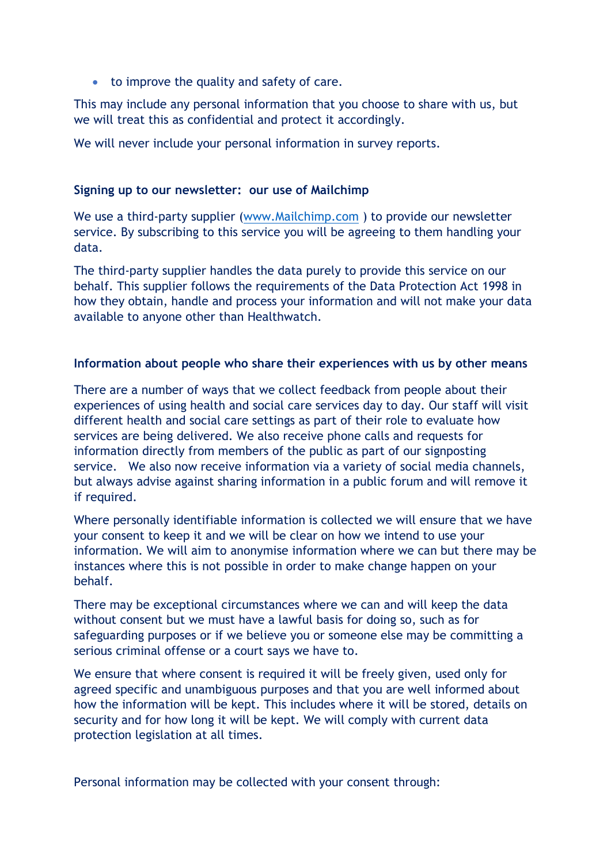• to improve the quality and safety of care.

This may include any personal information that you choose to share with us, but we will treat this as confidential and protect it accordingly.

We will never include your personal information in survey reports.

### **Signing up to our newsletter: our use of Mailchimp**

We use a third-party supplier [\(www.Mailchimp.com](http://www.mailchimp.com/) ) to provide our newsletter service. By subscribing to this service you will be agreeing to them handling your data.

The third-party supplier handles the data purely to provide this service on our behalf. This supplier follows the requirements of the Data Protection Act 1998 in how they obtain, handle and process your information and will not make your data available to anyone other than Healthwatch.

### **Information about people who share their experiences with us by other means**

There are a number of ways that we collect feedback from people about their experiences of using health and social care services day to day. Our staff will visit different health and social care settings as part of their role to evaluate how services are being delivered. We also receive phone calls and requests for information directly from members of the public as part of our signposting service. We also now receive information via a variety of social media channels, but always advise against sharing information in a public forum and will remove it if required.

Where personally identifiable information is collected we will ensure that we have your consent to keep it and we will be clear on how we intend to use your information. We will aim to anonymise information where we can but there may be instances where this is not possible in order to make change happen on your behalf.

There may be exceptional circumstances where we can and will keep the data without consent but we must have a lawful basis for doing so, such as for safeguarding purposes or if we believe you or someone else may be committing a serious criminal offense or a court says we have to.

We ensure that where consent is required it will be freely given, used only for agreed specific and unambiguous purposes and that you are well informed about how the information will be kept. This includes where it will be stored, details on security and for how long it will be kept. We will comply with current data protection legislation at all times.

Personal information may be collected with your consent through: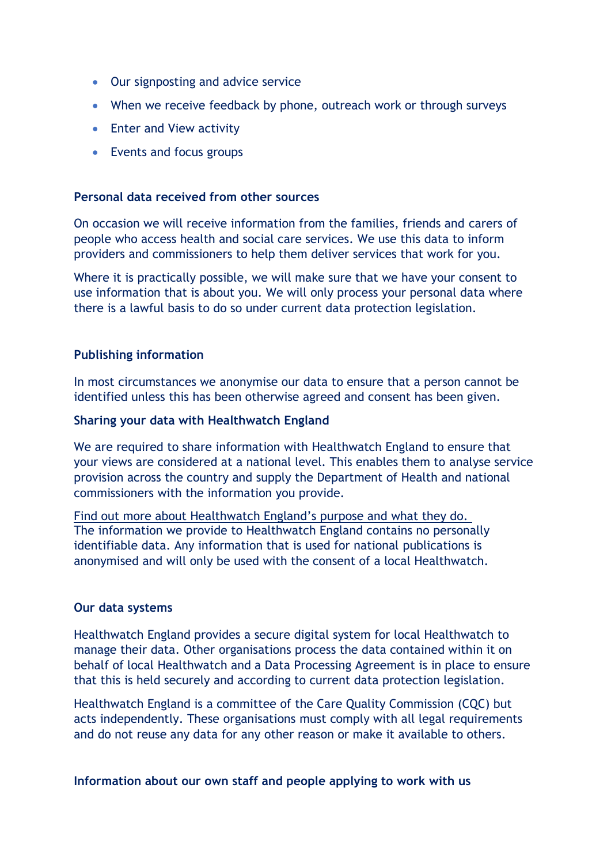- Our signposting and advice service
- When we receive feedback by phone, outreach work or through surveys
- Enter and View activity
- Events and focus groups

## **Personal data received from other sources**

On occasion we will receive information from the families, friends and carers of people who access health and social care services. We use this data to inform providers and commissioners to help them deliver services that work for you.

Where it is practically possible, we will make sure that we have your consent to use information that is about you. We will only process your personal data where there is a lawful basis to do so under current data protection legislation.

## **Publishing information**

In most circumstances we anonymise our data to ensure that a person cannot be identified unless this has been otherwise agreed and consent has been given.

## **Sharing your data with Healthwatch England**

We are required to share information with Healthwatch England to ensure that your views are considered at a national level. This enables them to analyse service provision across the country and supply the Department of Health and national commissioners with the information you provide.

[Find out more about Healthwatch England's purpose and what they do.](https://www.healthwatch.co.uk/about-us) The information we provide to Healthwatch England contains no personally identifiable data. Any information that is used for national publications is anonymised and will only be used with the consent of a local Healthwatch.

## **Our data systems**

Healthwatch England provides a secure digital system for local Healthwatch to manage their data. Other organisations process the data contained within it on behalf of local Healthwatch and a Data Processing Agreement is in place to ensure that this is held securely and according to current data protection legislation.

Healthwatch England is a committee of the Care Quality Commission (CQC) but acts independently. These organisations must comply with all legal requirements and do not reuse any data for any other reason or make it available to others.

**Information about our own staff and people applying to work with us**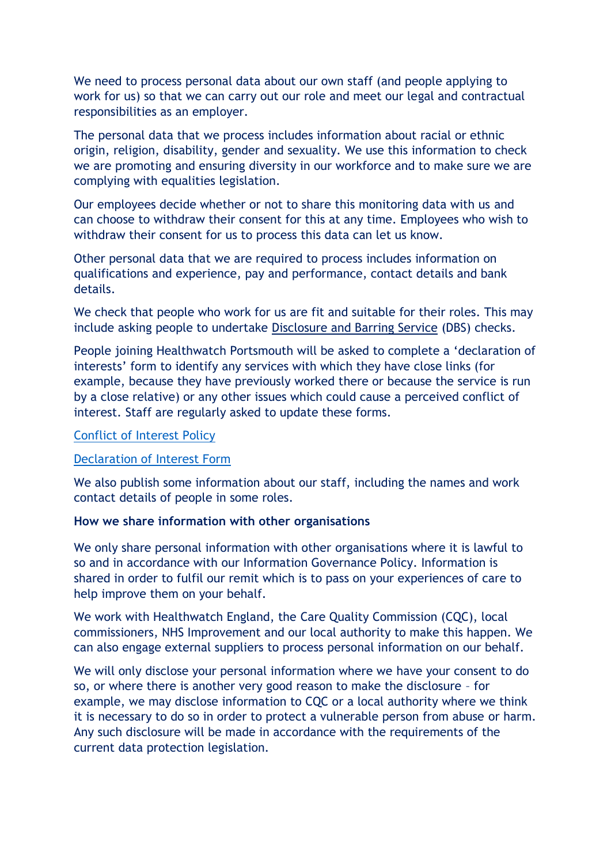We need to process personal data about our own staff (and people applying to work for us) so that we can carry out our role and meet our legal and contractual responsibilities as an employer.

The personal data that we process includes information about racial or ethnic origin, religion, disability, gender and sexuality. We use this information to check we are promoting and ensuring diversity in our workforce and to make sure we are complying with equalities legislation.

Our employees decide whether or not to share this monitoring data with us and can choose to withdraw their consent for this at any time. Employees who wish to withdraw their consent for us to process this data can let us know.

Other personal data that we are required to process includes information on qualifications and experience, pay and performance, contact details and bank details.

We check that people who work for us are fit and suitable for their roles. This may include asking people to undertake [Disclosure and Barring Service](https://www.gov.uk/government/organisations/disclosure-and-barring-service) (DBS) checks.

People joining Healthwatch Portsmouth will be asked to complete a 'declaration of interests' form to identify any services with which they have close links (for example, because they have previously worked there or because the service is run by a close relative) or any other issues which could cause a perceived conflict of interest. Staff are regularly asked to update these forms.

### [Conflict of Interest Policy](https://www.healthwatchportsmouth.co.uk/wp-content/uploads/2021/09/HWP-Conflicts-of-Interest-policy.pdf)

## [Declaration of Interest Form](https://www.healthwatchportsmouth.co.uk/wp-content/uploads/2021/09/HWP-Declaration-of-Interest-form.pdf)

We also publish some information about our staff, including the names and work contact details of people in some roles.

#### **How we share information with other organisations**

We only share personal information with other organisations where it is lawful to so and in accordance with our Information Governance Policy. Information is shared in order to fulfil our remit which is to pass on your experiences of care to help improve them on your behalf.

We work with Healthwatch England, the Care Quality Commission (CQC), local commissioners, NHS Improvement and our local authority to make this happen. We can also engage external suppliers to process personal information on our behalf.

We will only disclose your personal information where we have your consent to do so, or where there is another very good reason to make the disclosure – for example, we may disclose information to CQC or a local authority where we think it is necessary to do so in order to protect a vulnerable person from abuse or harm. Any such disclosure will be made in accordance with the requirements of the current data protection legislation.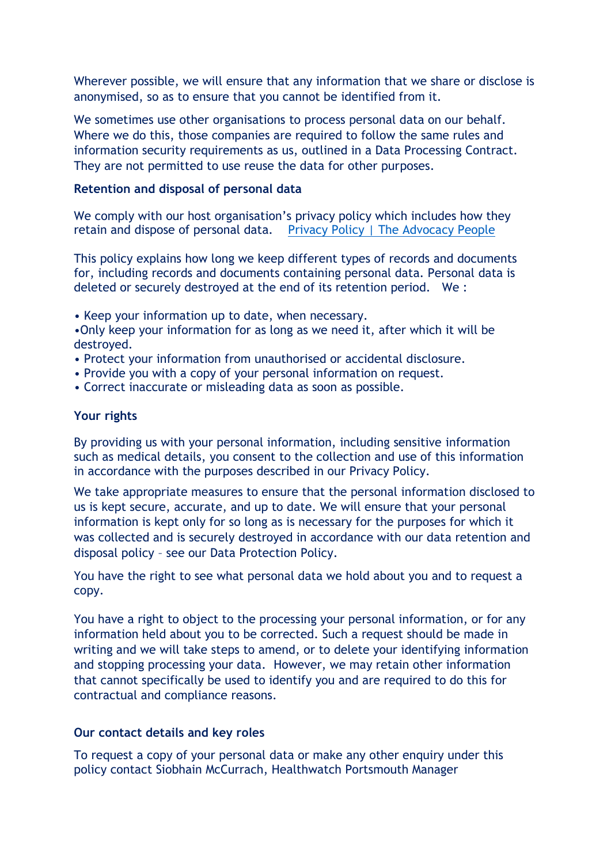Wherever possible, we will ensure that any information that we share or disclose is anonymised, so as to ensure that you cannot be identified from it.

We sometimes use other organisations to process personal data on our behalf. Where we do this, those companies are required to follow the same rules and information security requirements as us, outlined in a Data Processing Contract. They are not permitted to use reuse the data for other purposes.

### **Retention and disposal of personal data**

We comply with our host organisation's privacy policy which includes how they retain and dispose of personal data. [Privacy Policy | The Advocacy People](https://www.theadvocacypeople.org.uk/privacy)

This policy explains how long we keep different types of records and documents for, including records and documents containing personal data. Personal data is deleted or securely destroyed at the end of its retention period. We :

• Keep your information up to date, when necessary.

•Only keep your information for as long as we need it, after which it will be destroyed.

- Protect your information from unauthorised or accidental disclosure.
- Provide you with a copy of your personal information on request.
- Correct inaccurate or misleading data as soon as possible.

#### **Your rights**

By providing us with your personal information, including sensitive information such as medical details, you consent to the collection and use of this information in accordance with the purposes described in our Privacy Policy.

We take appropriate measures to ensure that the personal information disclosed to us is kept secure, accurate, and up to date. We will ensure that your personal information is kept only for so long as is necessary for the purposes for which it was collected and is securely destroyed in accordance with our data retention and disposal policy – see our Data Protection Policy.

You have the right to see what personal data we hold about you and to request a copy.

You have a right to object to the processing your personal information, or for any information held about you to be corrected. Such a request should be made in writing and we will take steps to amend, or to delete your identifying information and stopping processing your data. However, we may retain other information that cannot specifically be used to identify you and are required to do this for contractual and compliance reasons.

#### **Our contact details and key roles**

To request a copy of your personal data or make any other enquiry under this policy contact Siobhain McCurrach, Healthwatch Portsmouth Manager